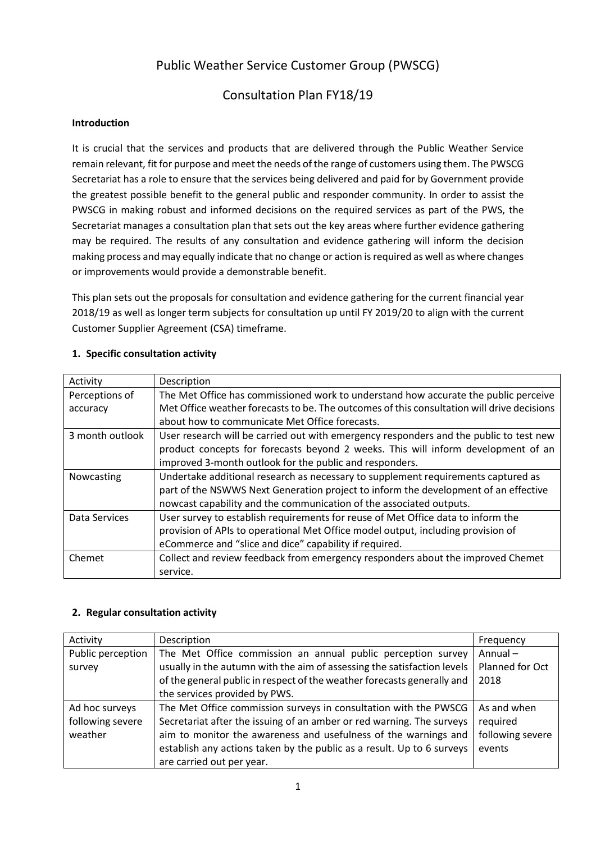# Public Weather Service Customer Group (PWSCG)

## Consultation Plan FY18/19

### **Introduction**

It is crucial that the services and products that are delivered through the Public Weather Service remain relevant, fit for purpose and meet the needs of the range of customers using them. The PWSCG Secretariat has a role to ensure that the services being delivered and paid for by Government provide the greatest possible benefit to the general public and responder community. In order to assist the PWSCG in making robust and informed decisions on the required services as part of the PWS, the Secretariat manages a consultation plan that sets out the key areas where further evidence gathering may be required. The results of any consultation and evidence gathering will inform the decision making process and may equally indicate that no change or action is required as well as where changes or improvements would provide a demonstrable benefit.

This plan sets out the proposals for consultation and evidence gathering for the current financial year 2018/19 as well as longer term subjects for consultation up until FY 2019/20 to align with the current Customer Supplier Agreement (CSA) timeframe.

#### **1. Specific consultation activity**

| Activity        | Description                                                                                |
|-----------------|--------------------------------------------------------------------------------------------|
| Perceptions of  | The Met Office has commissioned work to understand how accurate the public perceive        |
| accuracy        | Met Office weather forecasts to be. The outcomes of this consultation will drive decisions |
|                 | about how to communicate Met Office forecasts.                                             |
| 3 month outlook | User research will be carried out with emergency responders and the public to test new     |
|                 | product concepts for forecasts beyond 2 weeks. This will inform development of an          |
|                 | improved 3-month outlook for the public and responders.                                    |
| Nowcasting      | Undertake additional research as necessary to supplement requirements captured as          |
|                 | part of the NSWWS Next Generation project to inform the development of an effective        |
|                 | nowcast capability and the communication of the associated outputs.                        |
| Data Services   | User survey to establish requirements for reuse of Met Office data to inform the           |
|                 | provision of APIs to operational Met Office model output, including provision of           |
|                 | eCommerce and "slice and dice" capability if required.                                     |
| Chemet          | Collect and review feedback from emergency responders about the improved Chemet            |
|                 | service.                                                                                   |

#### **2. Regular consultation activity**

| Activity          | Description                                                             | Frequency        |
|-------------------|-------------------------------------------------------------------------|------------------|
| Public perception | The Met Office commission an annual public perception survey            | Annual-          |
| survey            | usually in the autumn with the aim of assessing the satisfaction levels | Planned for Oct  |
|                   | of the general public in respect of the weather forecasts generally and | 2018             |
|                   | the services provided by PWS.                                           |                  |
| Ad hoc surveys    | The Met Office commission surveys in consultation with the PWSCG        | As and when      |
| following severe  | Secretariat after the issuing of an amber or red warning. The surveys   | required         |
| weather           | aim to monitor the awareness and usefulness of the warnings and         | following severe |
|                   | establish any actions taken by the public as a result. Up to 6 surveys  | events           |
|                   | are carried out per year.                                               |                  |